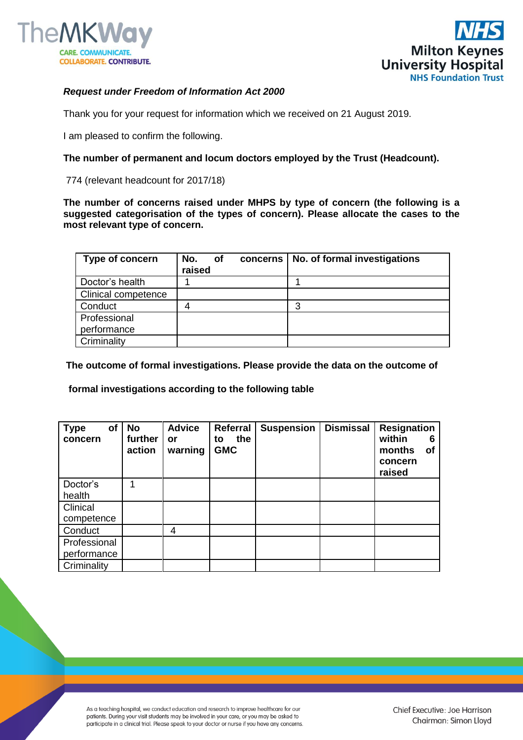



## *Request under Freedom of Information Act 2000*

Thank you for your request for information which we received on 21 August 2019.

I am pleased to confirm the following.

## **The number of permanent and locum doctors employed by the Trust (Headcount).**

774 (relevant headcount for 2017/18)

**The number of concerns raised under MHPS by type of concern (the following is a suggested categorisation of the types of concern). Please allocate the cases to the most relevant type of concern.**

| Type of concern     | No.<br><b>of</b><br>raised | concerns | No. of formal investigations |
|---------------------|----------------------------|----------|------------------------------|
| Doctor's health     |                            |          |                              |
| Clinical competence |                            |          |                              |
| Conduct             |                            |          | 3                            |
| Professional        |                            |          |                              |
| performance         |                            |          |                              |
| Criminality         |                            |          |                              |

**The outcome of formal investigations. Please provide the data on the outcome of**

 **formal investigations according to the following table**

| of<br><b>Type</b><br>concern | <b>No</b><br>further<br>action | <b>Advice</b><br>or<br>warning | Referral<br>the<br>to<br><b>GMC</b> | <b>Suspension</b> | <b>Dismissal</b> | <b>Resignation</b><br>within<br>6<br>months<br>οf<br>concern<br>raised |
|------------------------------|--------------------------------|--------------------------------|-------------------------------------|-------------------|------------------|------------------------------------------------------------------------|
| Doctor's<br>health           |                                |                                |                                     |                   |                  |                                                                        |
| Clinical<br>competence       |                                |                                |                                     |                   |                  |                                                                        |
| Conduct                      |                                | 4                              |                                     |                   |                  |                                                                        |
| Professional<br>performance  |                                |                                |                                     |                   |                  |                                                                        |
| Criminality                  |                                |                                |                                     |                   |                  |                                                                        |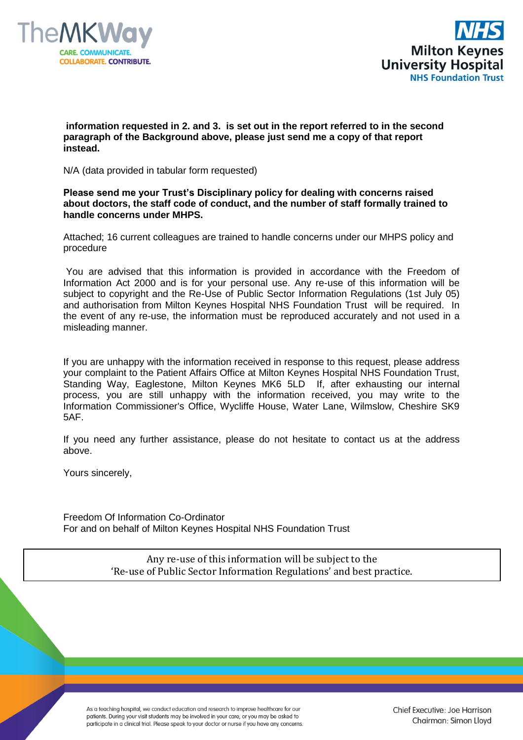



**information requested in 2. and 3. is set out in the report referred to in the second paragraph of the Background above, please just send me a copy of that report instead.** 

N/A (data provided in tabular form requested)

**Please send me your Trust's Disciplinary policy for dealing with concerns raised about doctors, the staff code of conduct, and the number of staff formally trained to handle concerns under MHPS.** 

Attached; 16 current colleagues are trained to handle concerns under our MHPS policy and procedure

You are advised that this information is provided in accordance with the Freedom of Information Act 2000 and is for your personal use. Any re-use of this information will be subject to copyright and the Re-Use of Public Sector Information Regulations (1st July 05) and authorisation from Milton Keynes Hospital NHS Foundation Trust will be required. In the event of any re-use, the information must be reproduced accurately and not used in a misleading manner.

If you are unhappy with the information received in response to this request, please address your complaint to the Patient Affairs Office at Milton Keynes Hospital NHS Foundation Trust, Standing Way, Eaglestone, Milton Keynes MK6 5LD If, after exhausting our internal process, you are still unhappy with the information received, you may write to the Information Commissioner's Office, Wycliffe House, Water Lane, Wilmslow, Cheshire SK9 5AF.

If you need any further assistance, please do not hesitate to contact us at the address above.

Yours sincerely,

Freedom Of Information Co-Ordinator For and on behalf of Milton Keynes Hospital NHS Foundation Trust

> Any re-use of this information will be subject to the 'Re-use of Public Sector Information Regulations' and best practice.

As a teaching hospital, we conduct education and research to improve healthcare for our patients. During your visit students may be involved in your care, or you may be asked to participate in a clinical trial. Please speak to your doctor or nurse if you have any concerns. Chief Executive: Joe Harrison Chairman: Simon Lloyd